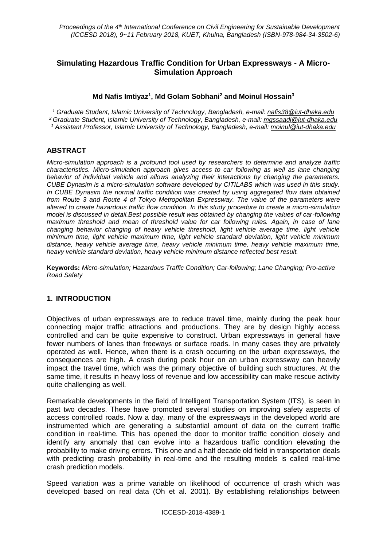# **Simulating Hazardous Traffic Condition for Urban Expressways - A Micro-Simulation Approach**

## **Md Nafis Imtiyaz<sup>1</sup> , Md Golam Sobhani<sup>2</sup> and Moinul Hossain<sup>3</sup>**

*<sup>1</sup> Graduate Student, Islamic University of Technology, Bangladesh, e-mail: nafis38@iut-dhaka.edu <sup>2</sup> Graduate Student, Islamic University of Technology, Bangladesh, e-mail: mgssaadi@iut-dhaka.edu <sup>3</sup> Assistant Professor, Islamic University of Technology, Bangladesh, e-mail: moinul@iut-dhaka.edu*

## **ABSTRACT**

*Micro-simulation approach is a profound tool used by researchers to determine and analyze traffic characteristics. Micro-simulation approach gives access to car following as well as lane changing behavior of individual vehicle and allows analyzing their interactions by changing the parameters. CUBE Dynasim is a micro-simulation software developed by CITILABS which was used in this study. In CUBE Dynasim the normal traffic condition was created by using aggregated flow data obtained from Route 3 and Route 4 of Tokyo Metropolitan Expressway. The value of the parameters were altered to create hazardous traffic flow condition. In this study procedure to create a micro-simulation model is discussed in detail.Best possible result was obtained by changing the values of car-following maximum threshold and mean of threshold value for car following rules. Again, in case of lane changing behavior changing of heavy vehicle threshold, light vehicle average time, light vehicle minimum time, light vehicle maximum time, light vehicle standard deviation, light vehicle minimum distance, heavy vehicle average time, heavy vehicle minimum time, heavy vehicle maximum time, heavy vehicle standard deviation, heavy vehicle minimum distance reflected best result.*

**Keywords:** *Micro-simulation; Hazardous Traffic Condition; Car-following; Lane Changing; Pro-active Road Safety*

## **1. INTRODUCTION**

Objectives of urban expressways are to reduce travel time, mainly during the peak hour connecting major traffic attractions and productions. They are by design highly access controlled and can be quite expensive to construct. Urban expressways in general have fewer numbers of lanes than freeways or surface roads. In many cases they are privately operated as well. Hence, when there is a crash occurring on the urban expressways, the consequences are high. A crash during peak hour on an urban expressway can heavily impact the travel time, which was the primary objective of building such structures. At the same time, it results in heavy loss of revenue and low accessibility can make rescue activity quite challenging as well.

Remarkable developments in the field of Intelligent Transportation System (ITS), is seen in past two decades. These have promoted several studies on improving safety aspects of access controlled roads. Now a day, many of the expressways in the developed world are instrumented which are generating a substantial amount of data on the current traffic condition in real-time. This has opened the door to monitor traffic condition closely and identify any anomaly that can evolve into a hazardous traffic condition elevating the probability to make driving errors. This one and a half decade old field in transportation deals with predicting crash probability in real-time and the resulting models is called real-time crash prediction models.

Speed variation was a prime variable on likelihood of occurrence of crash which was developed based on real data (Oh et al. 2001). By establishing relationships between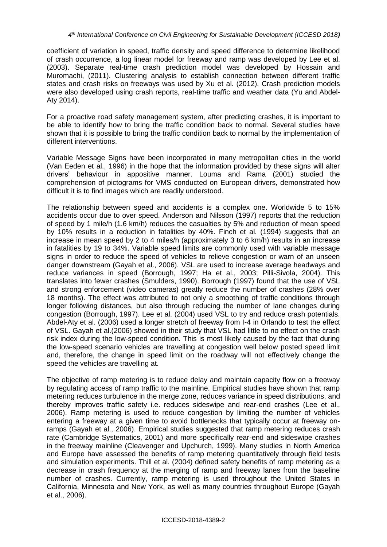coefficient of variation in speed, traffic density and speed difference to determine likelihood of crash occurrence, a log linear model for freeway and ramp was developed by Lee et al. (2003). Separate real-time crash prediction model was developed by Hossain and Muromachi, (2011). Clustering analysis to establish connection between different traffic states and crash risks on freeways was used by Xu et al. (2012). Crash prediction models were also developed using crash reports, real-time traffic and weather data (Yu and Abdel-Aty 2014).

For a proactive road safety management system, after predicting crashes, it is important to be able to identify how to bring the traffic condition back to normal. Several studies have shown that it is possible to bring the traffic condition back to normal by the implementation of different interventions.

Variable Message Signs have been incorporated in many metropolitan cities in the world (Van Eeden et al., 1996) in the hope that the information provided by these signs will alter drivers' behaviour in appositive manner. Louma and Rama (2001) studied the comprehension of pictograms for VMS conducted on European drivers, demonstrated how difficult it is to find images which are readily understood.

The relationship between speed and accidents is a complex one. Worldwide 5 to 15% accidents occur due to over speed. Anderson and Nilsson (1997) reports that the reduction of speed by 1 mile/h (1.6 km/h) reduces the casualties by 5% and reduction of mean speed by 10% results in a reduction in fatalities by 40%. Finch et al. (1994) suggests that an increase in mean speed by 2 to 4 miles/h (approximately 3 to 6 km/h) results in an increase in fatalities by 19 to 34%. Variable speed limits are commonly used with variable message signs in order to reduce the speed of vehicles to relieve congestion or warn of an unseen danger downstream (Gayah et al., 2006). VSL are used to increase average headways and reduce variances in speed (Borrough, 1997; Ha et al., 2003; Pilli-Sivola, 2004). This translates into fewer crashes (Smulders, 1990). Borrough (1997) found that the use of VSL and strong enforcement (video cameras) greatly reduce the number of crashes (28% over 18 months). The effect was attributed to not only a smoothing of traffic conditions through longer following distances, but also through reducing the number of lane changes during congestion (Borrough, 1997). Lee et al. (2004) used VSL to try and reduce crash potentials. Abdel-Aty et al. (2006) used a longer stretch of freeway from I-4 in Orlando to test the effect of VSL. Gayah et al.(2006) showed in their study that VSL had little to no effect on the crash risk index during the low-speed condition. This is most likely caused by the fact that during the low-speed scenario vehicles are travelling at congestion well below posted speed limit and, therefore, the change in speed limit on the roadway will not effectively change the speed the vehicles are travelling at.

The objective of ramp metering is to reduce delay and maintain capacity flow on a freeway by regulating access of ramp traffic to the mainline. Empirical studies have shown that ramp metering reduces turbulence in the merge zone, reduces variance in speed distributions, and thereby improves traffic safety i.e. reduces sideswipe and rear-end crashes (Lee et al., 2006). Ramp metering is used to reduce congestion by limiting the number of vehicles entering a freeway at a given time to avoid bottlenecks that typically occur at freeway onramps (Gayah et al., 2006). Empirical studies suggested that ramp metering reduces crash rate (Cambridge Systematics, 2001) and more specifically rear-end and sideswipe crashes in the freeway mainline (Cleavenger and Upchurch, 1999). Many studies in North America and Europe have assessed the benefits of ramp metering quantitatively through field tests and simulation experiments. Thill et al. (2004) defined safety benefits of ramp metering as a decrease in crash frequency at the merging of ramp and freeway lanes from the baseline number of crashes. Currently, ramp metering is used throughout the United States in California, Minnesota and New York, as well as many countries throughout Europe (Gayah et al., 2006).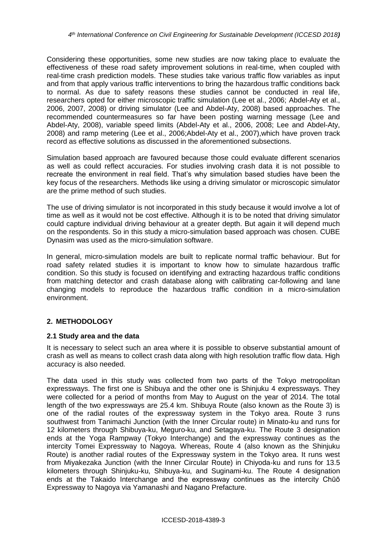Considering these opportunities, some new studies are now taking place to evaluate the effectiveness of these road safety improvement solutions in real-time, when coupled with real-time crash prediction models. These studies take various traffic flow variables as input and from that apply various traffic interventions to bring the hazardous traffic conditions back to normal. As due to safety reasons these studies cannot be conducted in real life, researchers opted for either microscopic traffic simulation (Lee et al., 2006; Abdel-Aty et al., 2006, 2007, 2008) or driving simulator (Lee and Abdel-Aty, 2008) based approaches. The recommended countermeasures so far have been posting warning message (Lee and Abdel-Aty, 2008), variable speed limits (Abdel-Aty et al., 2006, 2008; Lee and Abdel-Aty, 2008) and ramp metering (Lee et al., 2006;Abdel-Aty et al., 2007),which have proven track record as effective solutions as discussed in the aforementioned subsections.

Simulation based approach are favoured because those could evaluate different scenarios as well as could reflect accuracies. For studies involving crash data it is not possible to recreate the environment in real field. That's why simulation based studies have been the key focus of the researchers. Methods like using a driving simulator or microscopic simulator are the prime method of such studies.

The use of driving simulator is not incorporated in this study because it would involve a lot of time as well as it would not be cost effective. Although it is to be noted that driving simulator could capture individual driving behaviour at a greater depth. But again it will depend much on the respondents. So in this study a micro-simulation based approach was chosen. CUBE Dynasim was used as the micro-simulation software.

In general, micro-simulation models are built to replicate normal traffic behaviour. But for road safety related studies it is important to know how to simulate hazardous traffic condition. So this study is focused on identifying and extracting hazardous traffic conditions from matching detector and crash database along with calibrating car-following and lane changing models to reproduce the hazardous traffic condition in a micro-simulation environment.

# **2. METHODOLOGY**

## **2.1 Study area and the data**

It is necessary to select such an area where it is possible to observe substantial amount of crash as well as means to collect crash data along with high resolution traffic flow data. High accuracy is also needed.

The data used in this study was collected from two parts of the Tokyo metropolitan expressways. The first one is Shibuya and the other one is Shinjuku 4 expressways. They were collected for a period of months from May to August on the year of 2014. The total length of the two expressways are 25.4 km. Shibuya Route (also known as the Route 3) is one of the radial routes of the expressway system in the Tokyo area. Route 3 runs southwest from Tanimachi Junction (with the Inner Circular route) in Minato-ku and runs for 12 kilometers through Shibuya-ku, Meguro-ku, and Setagaya-ku. The Route 3 designation ends at the Yoga Rampway (Tokyo Interchange) and the expressway continues as the intercity Tomei Expressway to Nagoya. Whereas, Route 4 (also known as the Shinjuku Route) is another radial routes of the Expressway system in the Tokyo area. It runs west from Miyakezaka Junction (with the Inner Circular Route) in Chiyoda-ku and runs for 13.5 kilometers through Shinjuku-ku, Shibuya-ku, and Suginami-ku. The Route 4 designation ends at the Takaido Interchange and the expressway continues as the intercity Chūō Expressway to Nagoya via Yamanashi and Nagano Prefacture.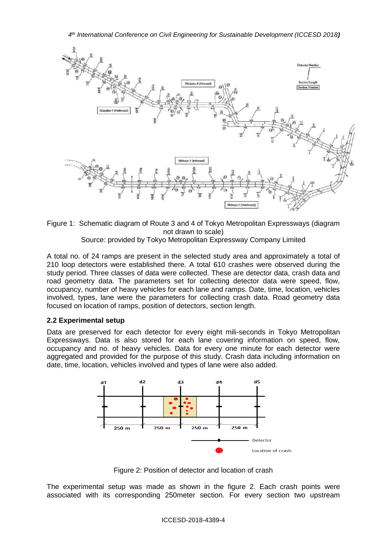

Figure 1: Schematic diagram of Route 3 and 4 of Tokyo Metropolitan Expressways (diagram not drawn to scale) Source: provided by Tokyo Metropolitan Expressway Company Limited

A total no. of 24 ramps are present in the selected study area and approximately a total of 210 loop detectors were established there. A total 610 crashes were observed during the study period. Three classes of data were collected. These are detector data, crash data and road geometry data. The parameters set for collecting detector data were speed, flow, occupancy, number of heavy vehicles for each lane and ramps. Date, time, location, vehicles involved, types, lane were the parameters for collecting crash data. Road geometry data focused on location of ramps, position of detectors, section length.

## **2.2 Experimental setup**

Data are preserved for each detector for every eight mili-seconds in Tokyo Metropolitan Expressways. Data is also stored for each lane covering information on speed, flow, occupancy and no. of heavy vehicles. Data for every one minute for each detector were aggregated and provided for the purpose of this study. Crash data including information on date, time, location, vehicles involved and types of lane were also added.



Figure 2: Position of detector and location of crash

The experimental setup was made as shown in the figure 2. Each crash points were associated with its corresponding 250meter section. For every section two upstream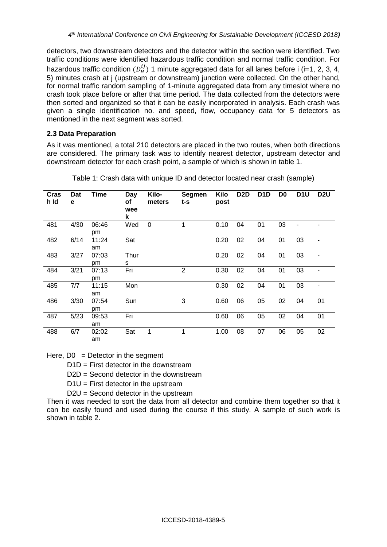detectors, two downstream detectors and the detector within the section were identified. Two traffic conditions were identified hazardous traffic condition and normal traffic condition. For hazardous traffic condition  $(D_H^{ij})$  1 minute aggregated data for all lanes before i (i=1, 2, 3, 4, 5) minutes crash at j (upstream or downstream) junction were collected. On the other hand, for normal traffic random sampling of 1-minute aggregated data from any timeslot where no crash took place before or after that time period. The data collected from the detectors were then sorted and organized so that it can be easily incorporated in analysis. Each crash was given a single identification no. and speed, flow, occupancy data for 5 detectors as mentioned in the next segment was sorted.

## **2.3 Data Preparation**

As it was mentioned, a total 210 detectors are placed in the two routes, when both directions are considered. The primary task was to identify nearest detector, upstream detector and downstream detector for each crash point, a sample of which is shown in table 1.

| Cras<br>h Id | Dat<br>e | Time        | Day<br>οf<br>wee<br>k | Kilo-<br>meters | <b>Segmen</b><br>t-s | Kilo<br>post | D <sub>2</sub> D | D <sub>1</sub> D | D <sub>0</sub> | D <sub>1</sub> U | D <sub>2</sub> U |
|--------------|----------|-------------|-----------------------|-----------------|----------------------|--------------|------------------|------------------|----------------|------------------|------------------|
| 481          | 4/30     | 06:46<br>pm | Wed                   | 0               | 1                    | 0.10         | 04               | 01               | 03             |                  |                  |
| 482          | 6/14     | 11:24<br>am | Sat                   |                 |                      | 0.20         | 02               | 04               | 01             | 03               |                  |
| 483          | 3/27     | 07:03<br>pm | Thur<br>s             |                 |                      | 0.20         | 02               | 04               | 01             | 03               | $\overline{a}$   |
| 484          | 3/21     | 07:13<br>pm | Fri                   |                 | $\overline{2}$       | 0.30         | 02               | 04               | 01             | 03               |                  |
| 485          | 7/7      | 11:15<br>am | Mon                   |                 |                      | 0.30         | 02               | 04               | 01             | 03               |                  |
| 486          | 3/30     | 07:54<br>pm | Sun                   |                 | 3                    | 0.60         | 06               | 05               | 02             | 04               | 01               |
| 487          | 5/23     | 09:53<br>am | Fri                   |                 |                      | 0.60         | 06               | 05               | 02             | 04               | 01               |
| 488          | 6/7      | 02:02<br>am | Sat                   | 1               | 1                    | 1.00         | 08               | 07               | 06             | 05               | 02               |

Table 1: Crash data with unique ID and detector located near crash (sample)

Here,  $D0 =$  Detector in the segment

 $D1D =$  First detector in the downstream

D2D = Second detector in the downstream

 $D1U =$  First detector in the upstream

D2U = Second detector in the upstream

Then it was needed to sort the data from all detector and combine them together so that it can be easily found and used during the course if this study. A sample of such work is shown in table 2.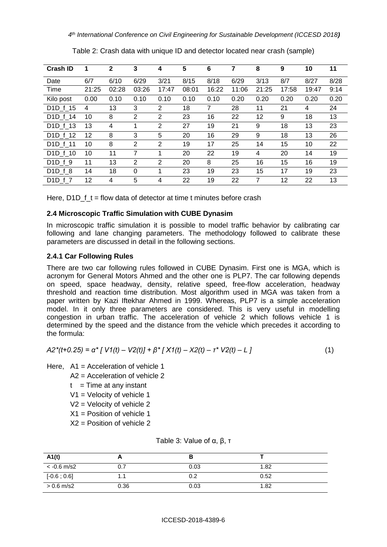| <b>Crash ID</b>                 | 1     | $\mathbf{2}$ | 3              | 4              | $5\phantom{1}$ | 6     | 7     | 8     | 9     | 10    | 11   |
|---------------------------------|-------|--------------|----------------|----------------|----------------|-------|-------|-------|-------|-------|------|
| Date                            | 6/7   | 6/10         | 6/29           | 3/21           | 8/15           | 8/18  | 6/29  | 3/13  | 8/7   | 8/27  | 8/28 |
| Time                            | 21:25 | 02:28        | 03:26          | 17:47          | 08:01          | 16:22 | 11:06 | 21:25 | 17:58 | 19:47 | 9:14 |
| Kilo post                       | 0.00  | 0.10         | 0.10           | 0.10           | 0.10           | 0.10  | 0.20  | 0.20  | 0.20  | 0.20  | 0.20 |
| D <sub>1</sub> D f 15           | 4     | 13           | 3              | 2              | 18             | 7     | 28    | 11    | 21    | 4     | 24   |
| D <sub>1</sub> D f 14           | 10    | 8            | $\overline{2}$ | $\overline{2}$ | 23             | 16    | 22    | 12    | 9     | 18    | 13   |
| D <sub>1</sub> D f 13           | 13    | 4            | 1              | $\overline{2}$ | 27             | 19    | 21    | 9     | 18    | 13    | 23   |
| D <sub>1</sub> D f 12           | 12    | 8            | 3              | 5              | 20             | 16    | 29    | 9     | 18    | 13    | 26   |
| D <sub>1</sub> D f 11           | 10    | 8            | 2              | 2              | 19             | 17    | 25    | 14    | 15    | 10    | 22   |
| D <sub>1</sub> D f 10           | 10    | 11           | 7              | 1              | 20             | 22    | 19    | 4     | 20    | 14    | 19   |
| D <sub>1</sub> D f 9            | 11    | 13           | $\overline{2}$ | $\overline{2}$ | 20             | 8     | 25    | 16    | 15    | 16    | 19   |
| D <sub>1</sub> D <sub>f</sub> 8 | 14    | 18           | $\Omega$       |                | 23             | 19    | 23    | 15    | 17    | 19    | 23   |
| D <sub>1</sub> D <sub>f</sub> 7 | 12    | 4            | 5              | 4              | 22             | 19    | 22    | 7     | 12    | 22    | 13   |

Table 2: Crash data with unique ID and detector located near crash (sample)

Here, D1D\_f\_t = flow data of detector at time t minutes before crash

## **2.4 Microscopic Traffic Simulation with CUBE Dynasim**

In microscopic traffic simulation it is possible to model traffic behavior by calibrating car following and lane changing parameters. The methodology followed to calibrate these parameters are discussed in detail in the following sections.

## **2.4.1 Car Following Rules**

There are two car following rules followed in CUBE Dynasim. First one is MGA, which is acronym for General Motors Ahmed and the other one is PLP7. The car following depends on speed, space headway, density, relative speed, free-flow acceleration, headway threshold and reaction time distribution. Most algorithm used in MGA was taken from a paper written by Kazi Iftekhar Ahmed in 1999. Whereas, PLP7 is a simple acceleration model. In it only three parameters are considered. This is very useful in modelling congestion in urban traffic. The acceleration of vehicle 2 which follows vehicle 1 is determined by the speed and the distance from the vehicle which precedes it according to the formula:

$$
A2^{*}(t+0.25) = \alpha^{*}[V1(t) - V2(t)] + \beta^{*}[X1(t) - X2(t) - \tau^{*}V2(t) - L]
$$
\n(1)

Here, A1 = Acceleration of vehicle 1

- A2 = Acceleration of vehicle 2
- $t =$  Time at any instant
- V1 = Velocity of vehicle 1
- V2 = Velocity of vehicle 2
- $X1$  = Position of vehicle 1
- X2 = Position of vehicle 2

| A1(t)                |      |      |      |
|----------------------|------|------|------|
| $<$ -0.6 m/s2        | 0.7  | 0.03 | 1.82 |
| $[-0.6 \; ; \; 0.6]$ | . .  |      | 0.52 |
| $> 0.6$ m/s2         | 0.36 | 0.03 | 1.82 |

Table 3: Value of α, β, τ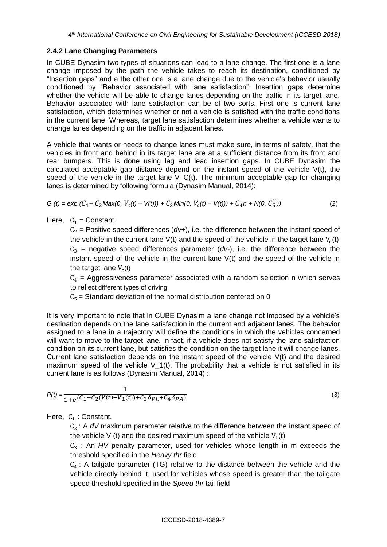## **2.4.2 Lane Changing Parameters**

In CUBE Dynasim two types of situations can lead to a lane change. The first one is a lane change imposed by the path the vehicle takes to reach its destination, conditioned by "Insertion gaps" and a the other one is a lane change due to the vehicle's behavior usually conditioned by "Behavior associated with lane satisfaction". Insertion gaps determine whether the vehicle will be able to change lanes depending on the traffic in its target lane. Behavior associated with lane satisfaction can be of two sorts. First one is current lane satisfaction, which determines whether or not a vehicle is satisfied with the traffic conditions in the current lane. Whereas, target lane satisfaction determines whether a vehicle wants to change lanes depending on the traffic in adjacent lanes.

A vehicle that wants or needs to change lanes must make sure, in terms of safety, that the vehicles in front and behind in its target lane are at a sufficient distance from its front and rear bumpers. This is done using lag and lead insertion gaps. In CUBE Dynasim the calculated acceptable gap distance depend on the instant speed of the vehicle  $V(t)$ , the speed of the vehicle in the target lane  $V_C(t)$ . The minimum acceptable gap for changing lanes is determined by following formula (Dynasim Manual, 2014):

$$
G(t) = \exp(C_1 + C_2 \text{Max}(0, V_c(t) - V(t))) + C_3 \text{Min}(0, V_c(t) - V(t))) + C_4 n + N(0, C_5^2))
$$
\n(2)

Here,  $C_1$  = Constant.

 $C_2$  = Positive speed differences ( $dv$ +), i.e. the difference between the instant speed of the vehicle in the current lane V(t) and the speed of the vehicle in the target lane  $V_c(t)$  $C_3$  = negative speed differences parameter ( $dv$ -), i.e. the difference between the instant speed of the vehicle in the current lane V(t) and the speed of the vehicle in the target lane  $V_c(t)$ 

 $C_4$  = Aggressiveness parameter associated with a random selection n which serves to reflect different types of driving

 $C_5$  = Standard deviation of the normal distribution centered on 0

It is very important to note that in CUBE Dynasim a lane change not imposed by a vehicle's destination depends on the lane satisfaction in the current and adjacent lanes. The behavior assigned to a lane in a trajectory will define the conditions in which the vehicles concerned will want to move to the target lane. In fact, if a vehicle does not satisfy the lane satisfaction condition on its current lane, but satisfies the condition on the target lane it will change lanes. Current lane satisfaction depends on the instant speed of the vehicle V(t) and the desired maximum speed of the vehicle  $V_1(t)$ . The probability that a vehicle is not satisfied in its current lane is as follows (Dynasim Manual, 2014) :

$$
P(t) = \frac{1}{1 + e^{\left(C_1 + C_2(V(t) - V_1(t)) + C_3 \delta_{PL} + C_4 \delta_{PA}\right)}}\tag{3}
$$

Here,  $C_1$ : Constant.

C<sub>2</sub> : A dV maximum parameter relative to the difference between the instant speed of the vehicle V (t) and the desired maximum speed of the vehicle  $V_1(t)$ 

C<sub>3</sub> : An *HV* penalty parameter, used for vehicles whose length in m exceeds the threshold specified in the *Heavy thr* field

 $C_4$ : A tailgate parameter (TG) relative to the distance between the vehicle and the vehicle directly behind it, used for vehicles whose speed is greater than the tailgate speed threshold specified in the *Speed thr* tail field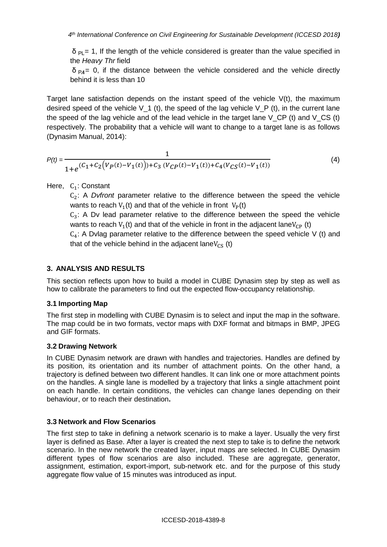$\delta$  <sub>Pl</sub> = 1, If the length of the vehicle considered is greater than the value specified in the *Heavy Thr* field

 $\delta_{PA}$ = 0, if the distance between the vehicle considered and the vehicle directly behind it is less than 10

Target lane satisfaction depends on the instant speed of the vehicle  $V(t)$ , the maximum desired speed of the vehicle  $V_1$  (t), the speed of the lag vehicle  $V_P$  (t), in the current lane the speed of the lag vehicle and of the lead vehicle in the target lane V CP (t) and V CS (t) respectively. The probability that a vehicle will want to change to a target lane is as follows (Dynasim Manual, 2014):

$$
P(t) = \frac{1}{1 + e^{(C_1 + C_2(V_P(t) - V_1(t))) + C_3(V_{CP}(t) - V_1(t)) + C_4(V_{CS}(t) - V_1(t))}}
$$
(4)

Here,  $C_1$ : Constant

C<sub>2</sub>: A *Dvfront* parameter relative to the difference between the speed the vehicle wants to reach  $V_1(t)$  and that of the vehicle in front  $V_P(t)$ 

 $C_3$ : A Dv lead parameter relative to the difference between the speed the vehicle wants to reach  $V_1(t)$  and that of the vehicle in front in the adjacent lane $V_{CP}$  (t)

 $C_4$ : A Dvlag parameter relative to the difference between the speed vehicle V (t) and that of the vehicle behind in the adjacent lane $V_{CS}$  (t)

# **3. ANALYSIS AND RESULTS**

This section reflects upon how to build a model in CUBE Dynasim step by step as well as how to calibrate the parameters to find out the expected flow-occupancy relationship.

## **3.1 Importing Map**

The first step in modelling with CUBE Dynasim is to select and input the map in the software. The map could be in two formats, vector maps with DXF format and bitmaps in BMP, JPEG and GIF formats.

## **3.2 Drawing Network**

In CUBE Dynasim network are drawn with handles and trajectories. Handles are defined by its position, its orientation and its number of attachment points. On the other hand, a trajectory is defined between two different handles. It can link one or more attachment points on the handles. A single lane is modelled by a trajectory that links a single attachment point on each handle. In certain conditions, the vehicles can change lanes depending on their behaviour, or to reach their destination**.** 

## **3.3 Network and Flow Scenarios**

The first step to take in defining a network scenario is to make a layer. Usually the very first layer is defined as Base. After a layer is created the next step to take is to define the network scenario. In the new network the created layer, input maps are selected. In CUBE Dynasim different types of flow scenarios are also included. These are aggregate, generator, assignment, estimation, export-import, sub-network etc. and for the purpose of this study aggregate flow value of 15 minutes was introduced as input.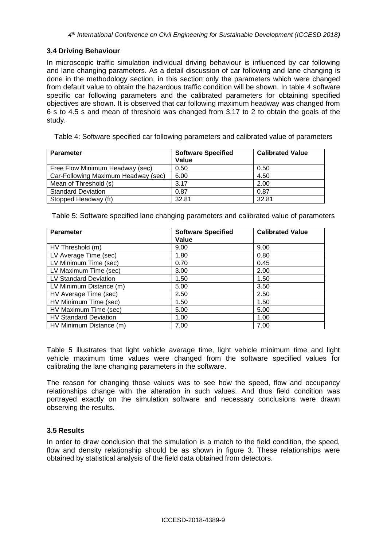### **3.4 Driving Behaviour**

In microscopic traffic simulation individual driving behaviour is influenced by car following and lane changing parameters. As a detail discussion of car following and lane changing is done in the methodology section, in this section only the parameters which were changed from default value to obtain the hazardous traffic condition will be shown. In table 4 software specific car following parameters and the calibrated parameters for obtaining specified objectives are shown. It is observed that car following maximum headway was changed from 6 s to 4.5 s and mean of threshold was changed from 3.17 to 2 to obtain the goals of the study.

Table 4: Software specified car following parameters and calibrated value of parameters

| <b>Parameter</b>                    | <b>Software Specified</b><br>Value | <b>Calibrated Value</b> |
|-------------------------------------|------------------------------------|-------------------------|
| Free Flow Minimum Headway (sec)     | 0.50                               | 0.50                    |
| Car-Following Maximum Headway (sec) | 6.00                               | 4.50                    |
| Mean of Threshold (s)               | 3.17                               | 2.00                    |
| <b>Standard Deviation</b>           | 0.87                               | 0.87                    |
| Stopped Headway (ft)                | 32.81                              | 32.81                   |

Table 5: Software specified lane changing parameters and calibrated value of parameters

| <b>Parameter</b>             | <b>Software Specified</b> | <b>Calibrated Value</b> |  |
|------------------------------|---------------------------|-------------------------|--|
|                              | Value                     |                         |  |
| HV Threshold (m)             | 9.00                      | 9.00                    |  |
| LV Average Time (sec)        | 1.80                      | 0.80                    |  |
| LV Minimum Time (sec)        | 0.70                      | 0.45                    |  |
| LV Maximum Time (sec)        | 3.00                      | 2.00                    |  |
| <b>LV Standard Deviation</b> | 1.50                      | 1.50                    |  |
| LV Minimum Distance (m)      | 5.00                      | 3.50                    |  |
| HV Average Time (sec)        | 2.50                      | 2.50                    |  |
| HV Minimum Time (sec)        | 1.50                      | 1.50                    |  |
| HV Maximum Time (sec)        | 5.00                      | 5.00                    |  |
| <b>HV Standard Deviation</b> | 1.00                      | 1.00                    |  |
| HV Minimum Distance (m)      | 7.00                      | 7.00                    |  |

Table 5 illustrates that light vehicle average time, light vehicle minimum time and light vehicle maximum time values were changed from the software specified values for calibrating the lane changing parameters in the software.

The reason for changing those values was to see how the speed, flow and occupancy relationships change with the alteration in such values. And thus field condition was portrayed exactly on the simulation software and necessary conclusions were drawn observing the results.

## **3.5 Results**

In order to draw conclusion that the simulation is a match to the field condition, the speed, flow and density relationship should be as shown in figure 3. These relationships were obtained by statistical analysis of the field data obtained from detectors.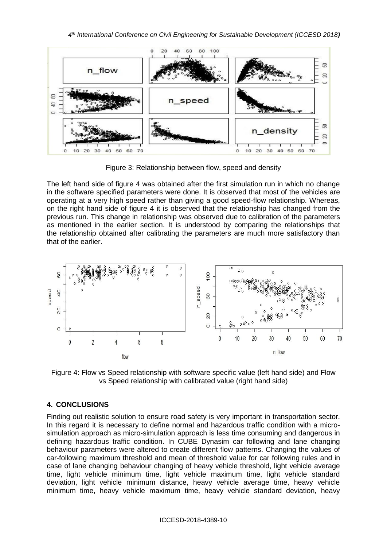

Figure 3: Relationship between flow, speed and density

The left hand side of figure 4 was obtained after the first simulation run in which no change in the software specified parameters were done. It is observed that most of the vehicles are operating at a very high speed rather than giving a good speed-flow relationship. Whereas, on the right hand side of figure 4 it is observed that the relationship has changed from the previous run. This change in relationship was observed due to calibration of the parameters as mentioned in the earlier section. It is understood by comparing the relationships that the relationship obtained after calibrating the parameters are much more satisfactory than that of the earlier.



Figure 4: Flow vs Speed relationship with software specific value (left hand side) and Flow vs Speed relationship with calibrated value (right hand side)

# **4. CONCLUSIONS**

Finding out realistic solution to ensure road safety is very important in transportation sector. In this regard it is necessary to define normal and hazardous traffic condition with a microsimulation approach as micro-simulation approach is less time consuming and dangerous in defining hazardous traffic condition. In CUBE Dynasim car following and lane changing behaviour parameters were altered to create different flow patterns. Changing the values of car-following maximum threshold and mean of threshold value for car following rules and in case of lane changing behaviour changing of heavy vehicle threshold, light vehicle average time, light vehicle minimum time, light vehicle maximum time, light vehicle standard deviation, light vehicle minimum distance, heavy vehicle average time, heavy vehicle minimum time, heavy vehicle maximum time, heavy vehicle standard deviation, heavy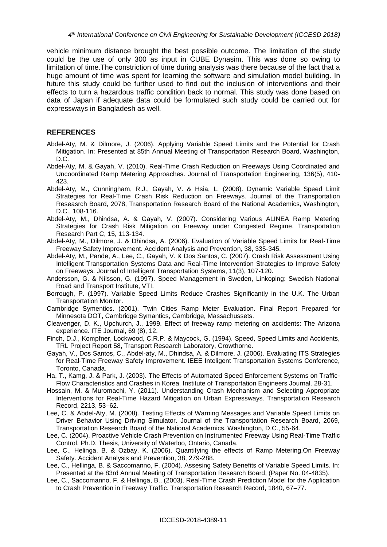vehicle minimum distance brought the best possible outcome. The limitation of the study could be the use of only 300 as input in CUBE Dynasim. This was done so owing to limitation of time.The constriction of time during analysis was there because of the fact that a huge amount of time was spent for learning the software and simulation model building. In future this study could be further used to find out the inclusion of interventions and their effects to turn a hazardous traffic condition back to normal. This study was done based on data of Japan if adequate data could be formulated such study could be carried out for expressways in Bangladesh as well.

### **REFERENCES**

- Abdel-Aty, M. & Dilmore, J. (2006). Applying Variable Speed Limits and the Potential for Crash Mitigation. In: Presented at 85th Annual Meeting of Transportation Research Board, Washington, D.C.
- Abdel-Aty, M. & Gayah, V. (2010). Real-Time Crash Reduction on Freeways Using Coordinated and Uncoordinated Ramp Metering Approaches. Journal of Transportation Engineering, 136(5), 410- 423.
- Abdel-Aty, M., Cunningham, R.J., Gayah, V. & Hsia, L. (2008). Dynamic Variable Speed Limit Strategies for Real-Time Crash Risk Reduction on Freeways. Journal of the Transportation Reseasrch Board, 2078, Transportation Research Board of the National Academics, Washington, D.C., 108-116.
- Abdel-Aty, M., Dhindsa, A. & Gayah, V. (2007). Considering Various ALINEA Ramp Metering Strategies for Crash Risk Mitigation on Freeway under Congested Regime. Transportation Research Part C, 15, 113-134.
- Abdel-Aty, M., Dilmore, J. & Dhindsa, A. (2006). Evaluation of Variable Speed Limits for Real-Time Freeway Safety Improvement. Accident Analysis and Prevention, 38, 335-345.
- Abdel-Aty, M., Pande, A., Lee, C., Gayah, V. & Dos Santos, C. (2007). Crash Risk Assessment Using Intelligent Transportation Systems Data and Real-Time Intervention Strategies to Improve Safety on Freeways. Journal of Intelligent Transportation Systems, 11(3), 107-120.
- Andersson, G. & Nilsson, G. (1997). Speed Management in Sweden, Linkoping: Swedish National Road and Transport Institute, VTI.
- Borrough, P. (1997). Variable Speed Limits Reduce Crashes Significantly in the U.K. The Urban Transportation Monitor.
- Cambridge Symentics. (2001). Twin Cities Ramp Meter Evaluation. Final Report Prepared for Minnesota DOT, Cambridge Symantics, Cambridge, Massachussets.
- Cleavenger, D. K., Upchurch, J., 1999. Effect of freeway ramp metering on accidents: The Arizona experience. ITE Journal, 69 (8), 12.
- Finch, D.J., Kompfner, Lockwood, C.R.P. & Maycock, G. (1994). Speed, Speed Limits and Accidents, TRL Project Report 58, Transport Research Laboratory, Crowthorne.
- Gayah, V., Dos Santos, C., Abdel-aty, M., Dhindsa, A. & Dilmore, J. (2006). Evaluating ITS Strategies for Real-Time Freeway Safety Improvement. IEEE Inteligent Transportation Systems Conference, Toronto, Canada.
- Ha, T., Kamg, J. & Park, J. (2003). The Effects of Automated Speed Enforcement Systems on Traffic-Flow Characteristics and Crashes in Korea. Institute of Transportation Engineers Journal. 28-31.
- Hossain, M. & Muromachi, Y. (2011). Understanding Crash Mechanism and Selecting Appropriate Interventions for Real-Time Hazard Mitigation on Urban Expressways. Transportation Research Record, 2213, 53–62.
- Lee, C. & Abdel-Aty, M. (2008). Testing Effects of Warning Messages and Variable Speed Limits on Driver Behavior Using Driving Simulator. Journal of the Transportation Research Board, 2069, Transportation Research Board of the National Academics, Washington, D.C., 55-64.
- Lee, C. (2004). Proactive Vehicle Crash Prevention on Instrumented Freeway Using Real-Time Traffic Control. Ph.D. Thesis, University of Waterloo, Ontario, Canada.
- Lee, C., Helinga, B. & Ozbay, K. (2006). Quantifying the effects of Ramp Metering.On Freeway Safety. Accident Analysis and Prevention, 38, 279-288.
- Lee, C., Hellinga, B. & Saccomanno, F. (2004). Assesing Safety Benefits of Variable Speed Limits. In: Presented at the 83rd Annual Meeting of Transportation Research Board, (Paper No. 04-4835).
- Lee, C., Saccomanno, F. & Hellinga, B., (2003). Real-Time Crash Prediction Model for the Application to Crash Prevention in Freeway Traffic. Transportation Research Record, 1840, 67–77.